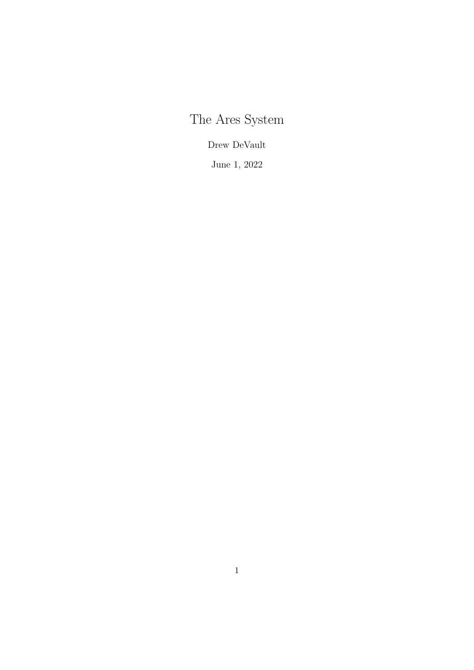The Ares System

Drew DeVault

June 1, 2022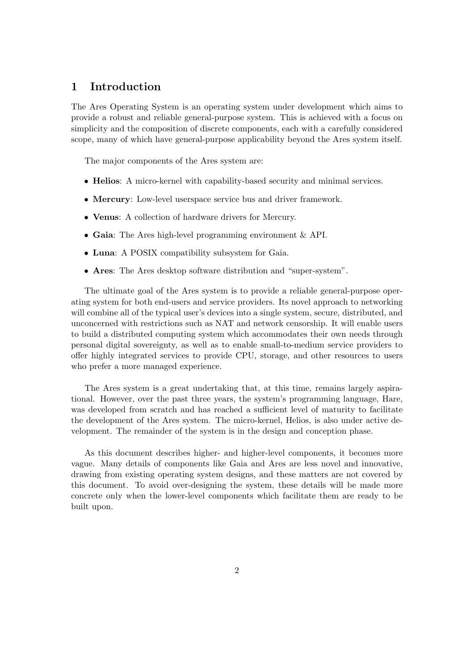## 1 Introduction

The Ares Operating System is an operating system under development which aims to provide a robust and reliable general-purpose system. This is achieved with a focus on simplicity and the composition of discrete components, each with a carefully considered scope, many of which have general-purpose applicability beyond the Ares system itself.

The major components of the Ares system are:

- Helios: A micro-kernel with capability-based security and minimal services.
- Mercury: Low-level userspace service bus and driver framework.
- Venus: A collection of hardware drivers for Mercury.
- Gaia: The Ares high-level programming environment & API.
- Luna: A POSIX compatibility subsystem for Gaia.
- Ares: The Ares desktop software distribution and "super-system".

The ultimate goal of the Ares system is to provide a reliable general-purpose operating system for both end-users and service providers. Its novel approach to networking will combine all of the typical user's devices into a single system, secure, distributed, and unconcerned with restrictions such as NAT and network censorship. It will enable users to build a distributed computing system which accommodates their own needs through personal digital sovereignty, as well as to enable small-to-medium service providers to offer highly integrated services to provide CPU, storage, and other resources to users who prefer a more managed experience.

The Ares system is a great undertaking that, at this time, remains largely aspirational. However, over the past three years, the system's programming language, Hare, was developed from scratch and has reached a sufficient level of maturity to facilitate the development of the Ares system. The micro-kernel, Helios, is also under active development. The remainder of the system is in the design and conception phase.

As this document describes higher- and higher-level components, it becomes more vague. Many details of components like Gaia and Ares are less novel and innovative, drawing from existing operating system designs, and these matters are not covered by this document. To avoid over-designing the system, these details will be made more concrete only when the lower-level components which facilitate them are ready to be built upon.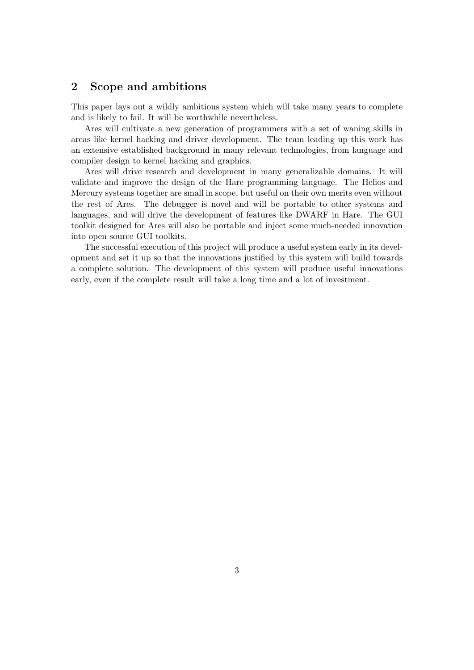# 2 Scope and ambitions

This paper lays out a wildly ambitious system which will take many years to complete and is likely to fail. It will be worthwhile nevertheless.

Ares will cultivate a new generation of programmers with a set of waning skills in areas like kernel hacking and driver development. The team leading up this work has an extensive established background in many relevant technologies, from language and compiler design to kernel hacking and graphics.

Ares will drive research and development in many generalizable domains. It will validate and improve the design of the Hare programming language. The Helios and Mercury systems together are small in scope, but useful on their own merits even without the rest of Ares. The debugger is novel and will be portable to other systems and languages, and will drive the development of features like DWARF in Hare. The GUI toolkit designed for Ares will also be portable and inject some much-needed innovation into open source GUI toolkits.

The successful execution of this project will produce a useful system early in its development and set it up so that the innovations justified by this system will build towards a complete solution. The development of this system will produce useful innovations early, even if the complete result will take a long time and a lot of investment.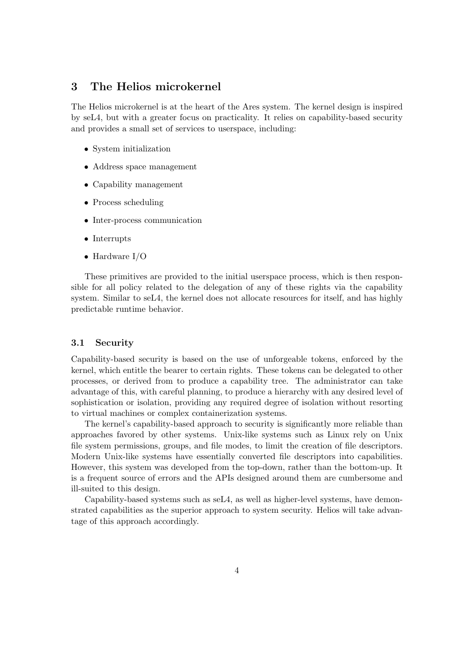# 3 The Helios microkernel

The Helios microkernel is at the heart of the Ares system. The kernel design is inspired by seL4, but with a greater focus on practicality. It relies on capability-based security and provides a small set of services to userspace, including:

- System initialization
- Address space management
- Capability management
- Process scheduling
- Inter-process communication
- Interrupts
- Hardware I/O

These primitives are provided to the initial userspace process, which is then responsible for all policy related to the delegation of any of these rights via the capability system. Similar to seL4, the kernel does not allocate resources for itself, and has highly predictable runtime behavior.

## 3.1 Security

Capability-based security is based on the use of unforgeable tokens, enforced by the kernel, which entitle the bearer to certain rights. These tokens can be delegated to other processes, or derived from to produce a capability tree. The administrator can take advantage of this, with careful planning, to produce a hierarchy with any desired level of sophistication or isolation, providing any required degree of isolation without resorting to virtual machines or complex containerization systems.

The kernel's capability-based approach to security is significantly more reliable than approaches favored by other systems. Unix-like systems such as Linux rely on Unix file system permissions, groups, and file modes, to limit the creation of file descriptors. Modern Unix-like systems have essentially converted file descriptors into capabilities. However, this system was developed from the top-down, rather than the bottom-up. It is a frequent source of errors and the APIs designed around them are cumbersome and ill-suited to this design.

Capability-based systems such as seL4, as well as higher-level systems, have demonstrated capabilities as the superior approach to system security. Helios will take advantage of this approach accordingly.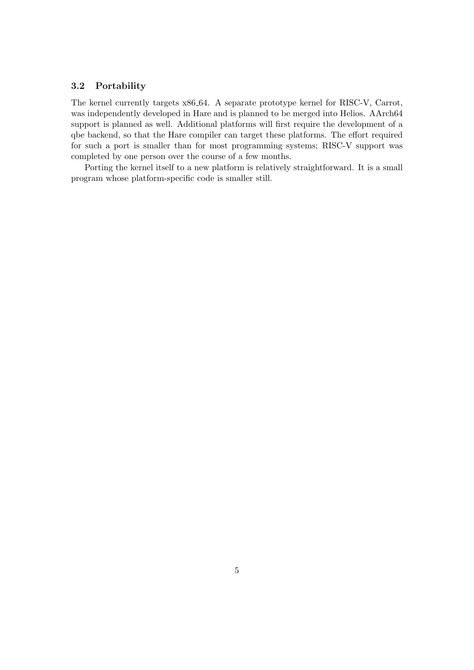## 3.2 Portability

The kernel currently targets x86 64. A separate prototype kernel for RISC-V, Carrot, was independently developed in Hare and is planned to be merged into Helios. AArch64 support is planned as well. Additional platforms will first require the development of a qbe backend, so that the Hare compiler can target these platforms. The effort required for such a port is smaller than for most programming systems; RISC-V support was completed by one person over the course of a few months.

Porting the kernel itself to a new platform is relatively straightforward. It is a small program whose platform-specific code is smaller still.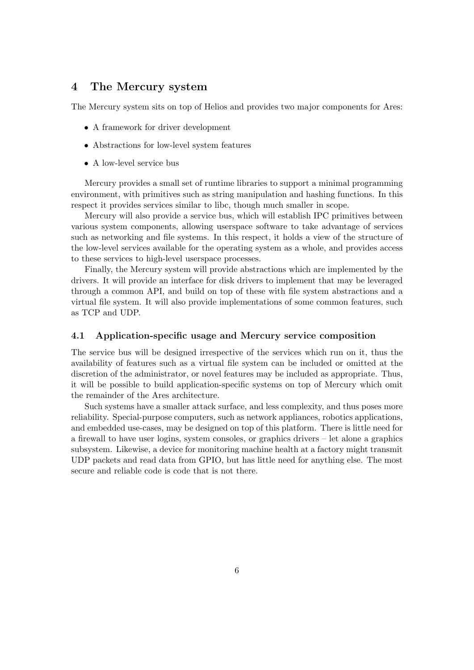# 4 The Mercury system

The Mercury system sits on top of Helios and provides two major components for Ares:

- A framework for driver development
- Abstractions for low-level system features
- A low-level service bus

Mercury provides a small set of runtime libraries to support a minimal programming environment, with primitives such as string manipulation and hashing functions. In this respect it provides services similar to libc, though much smaller in scope.

Mercury will also provide a service bus, which will establish IPC primitives between various system components, allowing userspace software to take advantage of services such as networking and file systems. In this respect, it holds a view of the structure of the low-level services available for the operating system as a whole, and provides access to these services to high-level userspace processes.

Finally, the Mercury system will provide abstractions which are implemented by the drivers. It will provide an interface for disk drivers to implement that may be leveraged through a common API, and build on top of these with file system abstractions and a virtual file system. It will also provide implementations of some common features, such as TCP and UDP.

## 4.1 Application-specific usage and Mercury service composition

The service bus will be designed irrespective of the services which run on it, thus the availability of features such as a virtual file system can be included or omitted at the discretion of the administrator, or novel features may be included as appropriate. Thus, it will be possible to build application-specific systems on top of Mercury which omit the remainder of the Ares architecture.

Such systems have a smaller attack surface, and less complexity, and thus poses more reliability. Special-purpose computers, such as network appliances, robotics applications, and embedded use-cases, may be designed on top of this platform. There is little need for a firewall to have user logins, system consoles, or graphics drivers – let alone a graphics subsystem. Likewise, a device for monitoring machine health at a factory might transmit UDP packets and read data from GPIO, but has little need for anything else. The most secure and reliable code is code that is not there.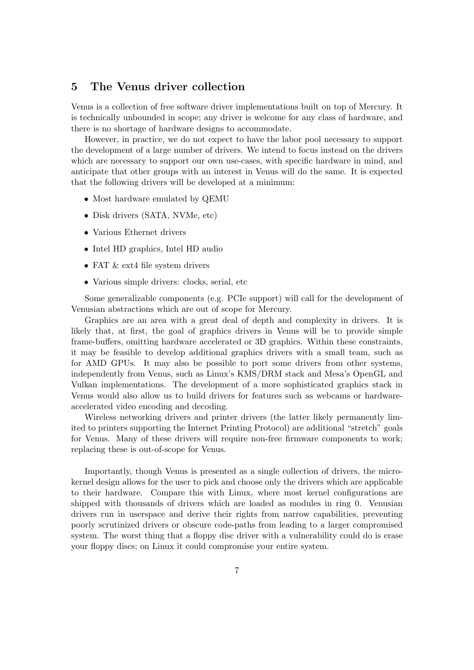## 5 The Venus driver collection

Venus is a collection of free software driver implementations built on top of Mercury. It is technically unbounded in scope; any driver is welcome for any class of hardware, and there is no shortage of hardware designs to accommodate.

However, in practice, we do not expect to have the labor pool necessary to support the development of a large number of drivers. We intend to focus instead on the drivers which are necessary to support our own use-cases, with specific hardware in mind, and anticipate that other groups with an interest in Venus will do the same. It is expected that the following drivers will be developed at a minimum:

- Most hardware emulated by QEMU
- Disk drivers (SATA, NVMe, etc)
- Various Ethernet drivers
- Intel HD graphics, Intel HD audio
- FAT  $&$  ext4 file system drivers
- Various simple drivers: clocks, serial, etc

Some generalizable components (e.g. PCIe support) will call for the development of Venusian abstractions which are out of scope for Mercury.

Graphics are an area with a great deal of depth and complexity in drivers. It is likely that, at first, the goal of graphics drivers in Venus will be to provide simple frame-buffers, omitting hardware accelerated or 3D graphics. Within these constraints, it may be feasible to develop additional graphics drivers with a small team, such as for AMD GPUs. It may also be possible to port some drivers from other systems, independently from Venus, such as Linux's KMS/DRM stack and Mesa's OpenGL and Vulkan implementations. The development of a more sophisticated graphics stack in Venus would also allow us to build drivers for features such as webcams or hardwareaccelerated video encoding and decoding.

Wireless networking drivers and printer drivers (the latter likely permanently limited to printers supporting the Internet Printing Protocol) are additional "stretch" goals for Venus. Many of these drivers will require non-free firmware components to work; replacing these is out-of-scope for Venus.

Importantly, though Venus is presented as a single collection of drivers, the microkernel design allows for the user to pick and choose only the drivers which are applicable to their hardware. Compare this with Linux, where most kernel configurations are shipped with thousands of drivers which are loaded as modules in ring 0. Venusian drivers run in userspace and derive their rights from narrow capabilities, preventing poorly scrutinized drivers or obscure code-paths from leading to a larger compromised system. The worst thing that a floppy disc driver with a vulnerability could do is erase your floppy discs; on Linux it could compromise your entire system.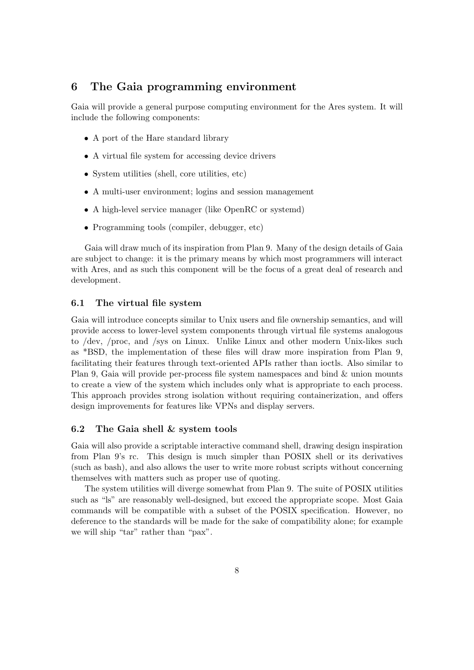# 6 The Gaia programming environment

Gaia will provide a general purpose computing environment for the Ares system. It will include the following components:

- A port of the Hare standard library
- A virtual file system for accessing device drivers
- System utilities (shell, core utilities, etc)
- A multi-user environment; logins and session management
- A high-level service manager (like OpenRC or systemd)
- Programming tools (compiler, debugger, etc)

Gaia will draw much of its inspiration from Plan 9. Many of the design details of Gaia are subject to change: it is the primary means by which most programmers will interact with Ares, and as such this component will be the focus of a great deal of research and development.

## 6.1 The virtual file system

Gaia will introduce concepts similar to Unix users and file ownership semantics, and will provide access to lower-level system components through virtual file systems analogous to /dev, /proc, and /sys on Linux. Unlike Linux and other modern Unix-likes such as \*BSD, the implementation of these files will draw more inspiration from Plan 9, facilitating their features through text-oriented APIs rather than ioctls. Also similar to Plan 9, Gaia will provide per-process file system namespaces and bind & union mounts to create a view of the system which includes only what is appropriate to each process. This approach provides strong isolation without requiring containerization, and offers design improvements for features like VPNs and display servers.

## 6.2 The Gaia shell & system tools

Gaia will also provide a scriptable interactive command shell, drawing design inspiration from Plan 9's rc. This design is much simpler than POSIX shell or its derivatives (such as bash), and also allows the user to write more robust scripts without concerning themselves with matters such as proper use of quoting.

The system utilities will diverge somewhat from Plan 9. The suite of POSIX utilities such as "ls" are reasonably well-designed, but exceed the appropriate scope. Most Gaia commands will be compatible with a subset of the POSIX specification. However, no deference to the standards will be made for the sake of compatibility alone; for example we will ship "tar" rather than "pax".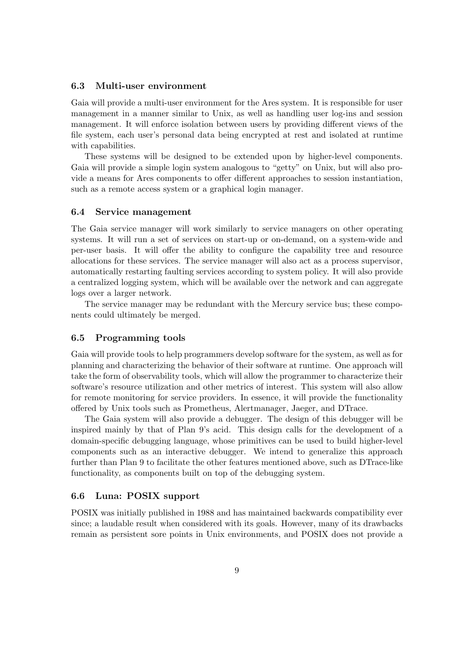## 6.3 Multi-user environment

Gaia will provide a multi-user environment for the Ares system. It is responsible for user management in a manner similar to Unix, as well as handling user log-ins and session management. It will enforce isolation between users by providing different views of the file system, each user's personal data being encrypted at rest and isolated at runtime with capabilities.

These systems will be designed to be extended upon by higher-level components. Gaia will provide a simple login system analogous to "getty" on Unix, but will also provide a means for Ares components to offer different approaches to session instantiation, such as a remote access system or a graphical login manager.

#### 6.4 Service management

The Gaia service manager will work similarly to service managers on other operating systems. It will run a set of services on start-up or on-demand, on a system-wide and per-user basis. It will offer the ability to configure the capability tree and resource allocations for these services. The service manager will also act as a process supervisor, automatically restarting faulting services according to system policy. It will also provide a centralized logging system, which will be available over the network and can aggregate logs over a larger network.

The service manager may be redundant with the Mercury service bus; these components could ultimately be merged.

#### 6.5 Programming tools

Gaia will provide tools to help programmers develop software for the system, as well as for planning and characterizing the behavior of their software at runtime. One approach will take the form of observability tools, which will allow the programmer to characterize their software's resource utilization and other metrics of interest. This system will also allow for remote monitoring for service providers. In essence, it will provide the functionality offered by Unix tools such as Prometheus, Alertmanager, Jaeger, and DTrace.

The Gaia system will also provide a debugger. The design of this debugger will be inspired mainly by that of Plan 9's acid. This design calls for the development of a domain-specific debugging language, whose primitives can be used to build higher-level components such as an interactive debugger. We intend to generalize this approach further than Plan 9 to facilitate the other features mentioned above, such as DTrace-like functionality, as components built on top of the debugging system.

#### 6.6 Luna: POSIX support

POSIX was initially published in 1988 and has maintained backwards compatibility ever since; a laudable result when considered with its goals. However, many of its drawbacks remain as persistent sore points in Unix environments, and POSIX does not provide a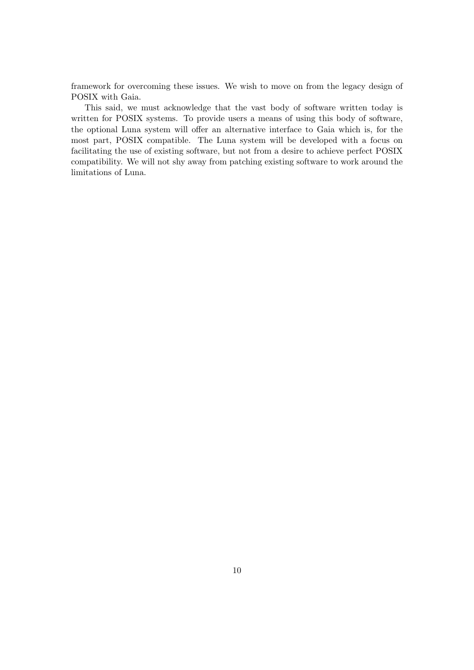framework for overcoming these issues. We wish to move on from the legacy design of POSIX with Gaia.

This said, we must acknowledge that the vast body of software written today is written for POSIX systems. To provide users a means of using this body of software, the optional Luna system will offer an alternative interface to Gaia which is, for the most part, POSIX compatible. The Luna system will be developed with a focus on facilitating the use of existing software, but not from a desire to achieve perfect POSIX compatibility. We will not shy away from patching existing software to work around the limitations of Luna.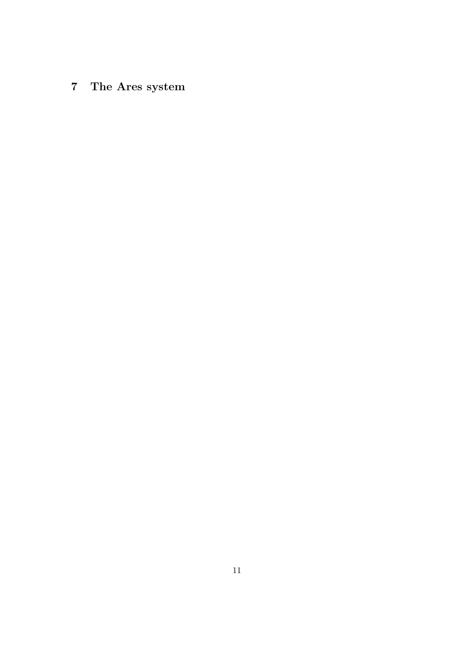# 7 The Ares system